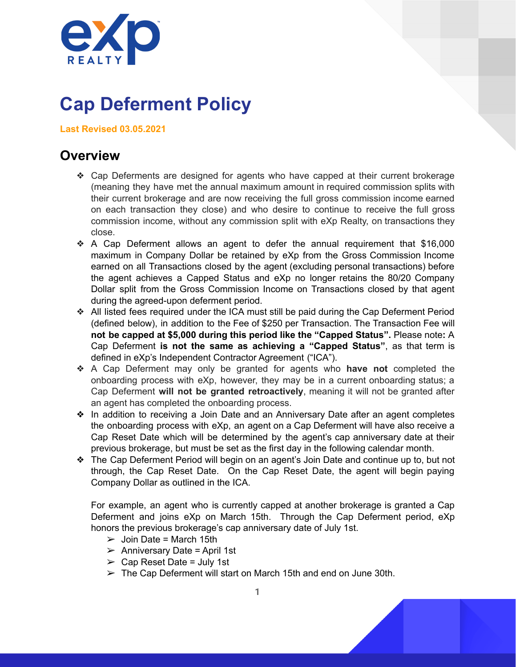

# **Cap Deferment Policy**

**Last Revised 03.05.2021**

#### **Overview**

- ❖ Cap Deferments are designed for agents who have capped at their current brokerage (meaning they have met the annual maximum amount in required commission splits with their current brokerage and are now receiving the full gross commission income earned on each transaction they close) and who desire to continue to receive the full gross commission income, without any commission split with eXp Realty, on transactions they close.
- ❖ A Cap Deferment allows an agent to defer the annual requirement that \$16,000 maximum in Company Dollar be retained by eXp from the Gross Commission Income earned on all Transactions closed by the agent (excluding personal transactions) before the agent achieves a Capped Status and eXp no longer retains the 80/20 Company Dollar split from the Gross Commission Income on Transactions closed by that agent during the agreed-upon deferment period.
- ❖ All listed fees required under the ICA must still be paid during the Cap Deferment Period (defined below), in addition to the Fee of \$250 per Transaction. The Transaction Fee will **not be capped at \$5,000 during this period like the "Capped Status".** Please note**:** A Cap Deferment **is not the same as achieving a "Capped Status"**, as that term is defined in eXp's Independent Contractor Agreement ("ICA").
- ❖ A Cap Deferment may only be granted for agents who **have not** completed the onboarding process with eXp, however, they may be in a current onboarding status; a Cap Deferment **will not be granted retroactively**, meaning it will not be granted after an agent has completed the onboarding process.
- ❖ In addition to receiving a Join Date and an Anniversary Date after an agent completes the onboarding process with eXp, an agent on a Cap Deferment will have also receive a Cap Reset Date which will be determined by the agent's cap anniversary date at their previous brokerage, but must be set as the first day in the following calendar month.
- ❖ The Cap Deferment Period will begin on an agent's Join Date and continue up to, but not through, the Cap Reset Date. On the Cap Reset Date, the agent will begin paying Company Dollar as outlined in the ICA.

For example, an agent who is currently capped at another brokerage is granted a Cap Deferment and joins eXp on March 15th. Through the Cap Deferment period, eXp honors the previous brokerage's cap anniversary date of July 1st.

- $\geq$  Join Date = March 15th
- $\triangleright$  Anniversary Date = April 1st
- $\geq$  Cap Reset Date = July 1st
- $\triangleright$  The Cap Deferment will start on March 15th and end on June 30th.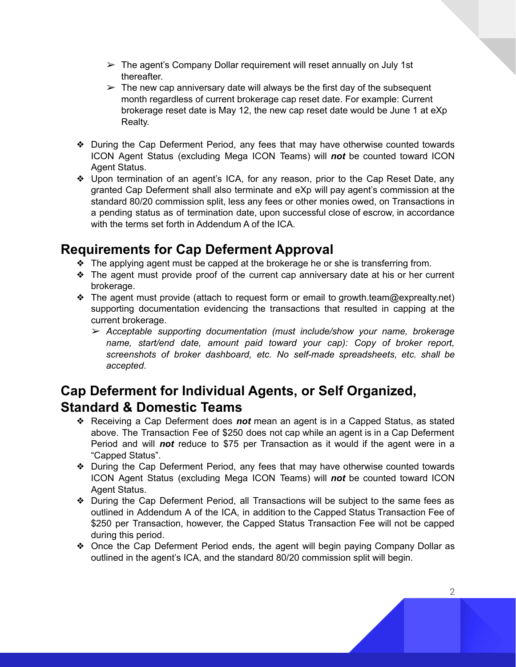- $\triangleright$  The agent's Company Dollar requirement will reset annually on July 1st thereafter.
- $\triangleright$  The new cap anniversary date will always be the first day of the subsequent month regardless of current brokerage cap reset date. For example: Current brokerage reset date is May 12, the new cap reset date would be June 1 at eXp Realty.
- ❖ During the Cap Deferment Period, any fees that may have otherwise counted towards ICON Agent Status (excluding Mega ICON Teams) will *not* be counted toward ICON Agent Status.
- ❖ Upon termination of an agent's ICA, for any reason, prior to the Cap Reset Date, any granted Cap Deferment shall also terminate and eXp will pay agent's commission at the standard 80/20 commission split, less any fees or other monies owed, on Transactions in a pending status as of termination date, upon successful close of escrow, in accordance with the terms set forth in Addendum A of the ICA.

## **Requirements for Cap Deferment Approval**

- ❖ The applying agent must be capped at the brokerage he or she is transferring from.
- ❖ The agent must provide proof of the current cap anniversary date at his or her current brokerage.
- ❖ The agent must provide (attach to request form or email to growth.team@exprealty.net) supporting documentation evidencing the transactions that resulted in capping at the current brokerage.
	- ➢ *Acceptable supporting documentation (must include/show your name, brokerage name, start/end date, amount paid toward your cap): Copy of broker report, screenshots of broker dashboard, etc. No self-made spreadsheets, etc. shall be accepted*.

## **Cap Deferment for Individual Agents, or Self Organized, Standard & Domestic Teams**

- ❖ Receiving a Cap Deferment does *not* mean an agent is in a Capped Status, as stated above. The Transaction Fee of \$250 does not cap while an agent is in a Cap Deferment Period and will *not* reduce to \$75 per Transaction as it would if the agent were in a "Capped Status".
- ❖ During the Cap Deferment Period, any fees that may have otherwise counted towards ICON Agent Status (excluding Mega ICON Teams) will *not* be counted toward ICON Agent Status.
- ❖ During the Cap Deferment Period, all Transactions will be subject to the same fees as outlined in Addendum A of the ICA, in addition to the Capped Status Transaction Fee of \$250 per Transaction, however, the Capped Status Transaction Fee will not be capped during this period.
- ❖ Once the Cap Deferment Period ends, the agent will begin paying Company Dollar as outlined in the agent's ICA, and the standard 80/20 commission split will begin.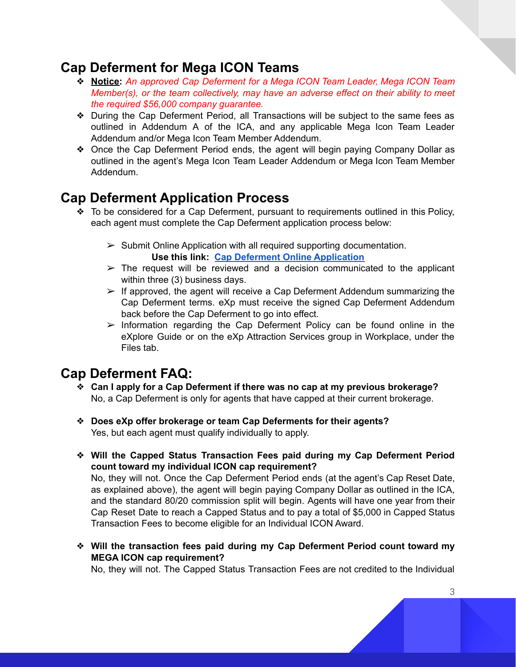## **Cap Deferment for Mega ICON Teams**

- ❖ **Notice:** *An approved Cap Deferment for a Mega ICON Team Leader, Mega ICON Team Member(s), or the team collectively, may have an adverse effect on their ability to meet the required \$56,000 company guarantee.*
- ❖ During the Cap Deferment Period, all Transactions will be subject to the same fees as outlined in Addendum A of the ICA, and any applicable Mega Icon Team Leader Addendum and/or Mega Icon Team Member Addendum.
- ❖ Once the Cap Deferment Period ends, the agent will begin paying Company Dollar as outlined in the agent's Mega Icon Team Leader Addendum or Mega Icon Team Member Addendum.

## **Cap Deferment Application Process**

- ❖ To be considered for a Cap Deferment, pursuant to requirements outlined in this Policy, each agent must complete the Cap Deferment application process below:
	- $\triangleright$  Submit Online Application with all required supporting documentation. **Use this link: Cap Deferment Online [Application](https://forms.gle/Lq9Sw7LNyTekCB7C9)**
	- $\triangleright$  The request will be reviewed and a decision communicated to the applicant within three (3) business days.
	- $\triangleright$  If approved, the agent will receive a Cap Deferment Addendum summarizing the Cap Deferment terms. eXp must receive the signed Cap Deferment Addendum back before the Cap Deferment to go into effect.
	- $\triangleright$  Information regarding the Cap Deferment Policy can be found online in the eXplore Guide or on the eXp Attraction Services group in Workplace, under the Files tab.

## **Cap Deferment FAQ:**

- ❖ **Can I apply for a Cap Deferment if there was no cap at my previous brokerage?** No, a Cap Deferment is only for agents that have capped at their current brokerage.
- ❖ **Does eXp offer brokerage or team Cap Deferments for their agents?** Yes, but each agent must qualify individually to apply.
- ❖ **Will the Capped Status Transaction Fees paid during my Cap Deferment Period count toward my individual ICON cap requirement?**

No, they will not. Once the Cap Deferment Period ends (at the agent's Cap Reset Date, as explained above), the agent will begin paying Company Dollar as outlined in the ICA, and the standard 80/20 commission split will begin. Agents will have one year from their Cap Reset Date to reach a Capped Status and to pay a total of \$5,000 in Capped Status Transaction Fees to become eligible for an Individual ICON Award.

❖ **Will the transaction fees paid during my Cap Deferment Period count toward my MEGA ICON cap requirement?**

No, they will not. The Capped Status Transaction Fees are not credited to the Individual